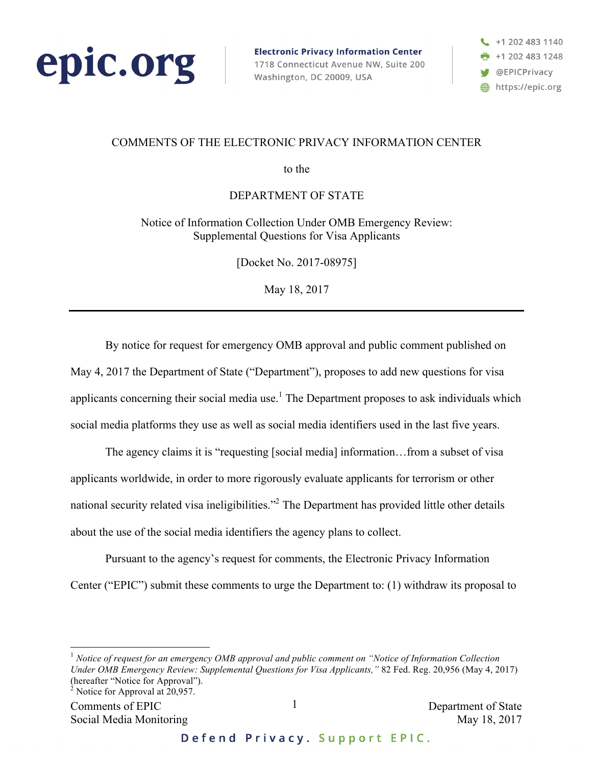

**Electronic Privacy Information Center** 1718 Connecticut Avenue NW, Suite 200 Washington, DC 20009, USA

 $\begin{array}{c} \begin{array}{c} \end{array}$  +1 202 483 1140  $\frac{1}{2}$  +1 202 483 1248 **W** @EPICPrivacy https://epic.org

## COMMENTS OF THE ELECTRONIC PRIVACY INFORMATION CENTER

to the

DEPARTMENT OF STATE

Notice of Information Collection Under OMB Emergency Review: Supplemental Questions for Visa Applicants

[Docket No. 2017-08975]

May 18, 2017

By notice for request for emergency OMB approval and public comment published on May 4, 2017 the Department of State ("Department"), proposes to add new questions for visa applicants concerning their social media use.<sup>1</sup> The Department proposes to ask individuals which social media platforms they use as well as social media identifiers used in the last five years.

The agency claims it is "requesting [social media] information…from a subset of visa applicants worldwide, in order to more rigorously evaluate applicants for terrorism or other national security related visa ineligibilities."<sup>2</sup> The Department has provided little other details about the use of the social media identifiers the agency plans to collect.

Pursuant to the agency's request for comments, the Electronic Privacy Information Center ("EPIC") submit these comments to urge the Department to: (1) withdraw its proposal to

 <sup>1</sup> *Notice of request for an emergency OMB approval and public comment on "Notice of Information Collection Under OMB Emergency Review: Supplemental Questions for Visa Applicants,"* 82 Fed. Reg. 20,956 (May 4, 2017) (hereafter "Notice for Approval").<br><sup>2</sup> Notice for Approval at 20,957.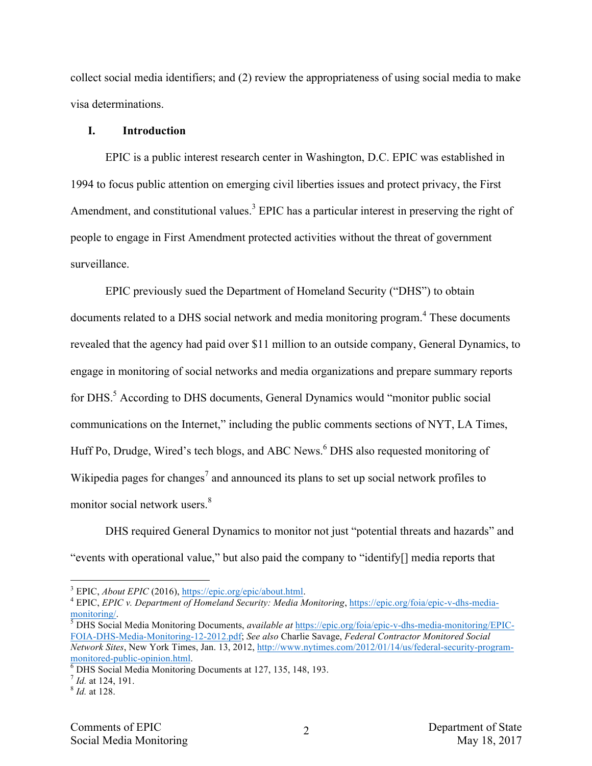collect social media identifiers; and (2) review the appropriateness of using social media to make visa determinations.

#### **I. Introduction**

EPIC is a public interest research center in Washington, D.C. EPIC was established in 1994 to focus public attention on emerging civil liberties issues and protect privacy, the First Amendment, and constitutional values.<sup>3</sup> EPIC has a particular interest in preserving the right of people to engage in First Amendment protected activities without the threat of government surveillance.

EPIC previously sued the Department of Homeland Security ("DHS") to obtain documents related to a DHS social network and media monitoring program.<sup>4</sup> These documents revealed that the agency had paid over \$11 million to an outside company, General Dynamics, to engage in monitoring of social networks and media organizations and prepare summary reports for DHS.<sup>5</sup> According to DHS documents, General Dynamics would "monitor public social communications on the Internet," including the public comments sections of NYT, LA Times, Huff Po, Drudge, Wired's tech blogs, and ABC News.<sup>6</sup> DHS also requested monitoring of Wikipedia pages for changes<sup>7</sup> and announced its plans to set up social network profiles to monitor social network users.<sup>8</sup>

DHS required General Dynamics to monitor not just "potential threats and hazards" and "events with operational value," but also paid the company to "identify[] media reports that

<sup>3</sup> EPIC, *About EPIC* (2016), https://epic.org/epic/about.html. <sup>4</sup> EPIC, *EPIC v. Department of Homeland Security: Media Monitoring*, https://epic.org/foia/epic-v-dhs-mediamonitoring/. <sup>5</sup> DHS Social Media Monitoring Documents, *available at* https://epic.org/foia/epic-v-dhs-media-monitoring/EPIC-

FOIA-DHS-Media-Monitoring-12-2012.pdf; *See also* Charlie Savage, *Federal Contractor Monitored Social Network Sites*, New York Times, Jan. 13, 2012, http://www.nytimes.com/2012/01/14/us/federal-security-programmonitored-public-opinion.html.<br><sup>6</sup> DHS Social Media Monitoring Documents at 127, 135, 148, 193.<br><sup>7</sup> *Id.* at 124, 191. 8 *Id.* at 128.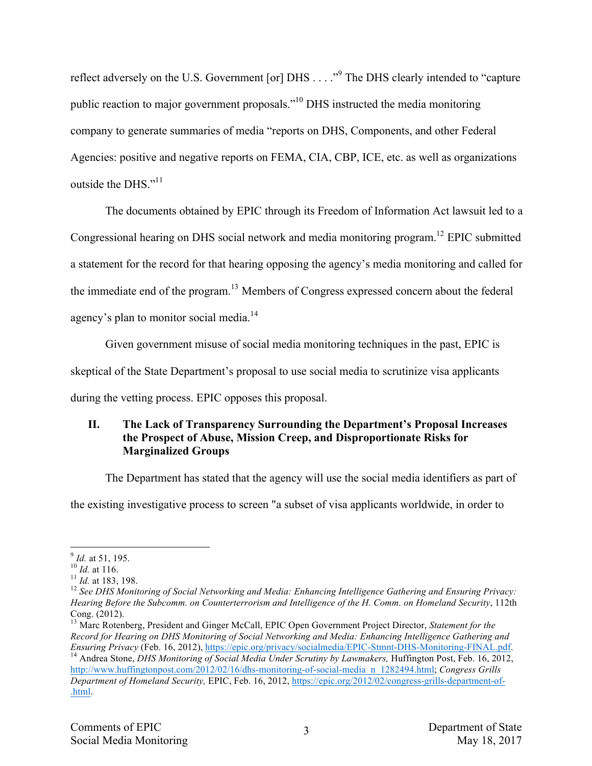reflect adversely on the U.S. Government [or] DHS . . . . "<sup>9</sup> The DHS clearly intended to "capture" public reaction to major government proposals."10 DHS instructed the media monitoring company to generate summaries of media "reports on DHS, Components, and other Federal Agencies: positive and negative reports on FEMA, CIA, CBP, ICE, etc. as well as organizations outside the DHS $"$ <sup>11</sup>

The documents obtained by EPIC through its Freedom of Information Act lawsuit led to a Congressional hearing on DHS social network and media monitoring program.<sup>12</sup> EPIC submitted a statement for the record for that hearing opposing the agency's media monitoring and called for the immediate end of the program.<sup>13</sup> Members of Congress expressed concern about the federal agency's plan to monitor social media.<sup>14</sup>

Given government misuse of social media monitoring techniques in the past, EPIC is

skeptical of the State Department's proposal to use social media to scrutinize visa applicants

during the vetting process. EPIC opposes this proposal.

# **II. The Lack of Transparency Surrounding the Department's Proposal Increases the Prospect of Abuse, Mission Creep, and Disproportionate Risks for Marginalized Groups**

The Department has stated that the agency will use the social media identifiers as part of

the existing investigative process to screen "a subset of visa applicants worldwide, in order to

<sup>13</sup> Marc Rotenberg, President and Ginger McCall, EPIC Open Government Project Director, *Statement for the Record for Hearing on DHS Monitoring of Social Networking and Media: Enhancing Intelligence Gathering and*  <sup>14</sup> Andrea Stone, *DHS Monitoring of Social Media Under Scrutiny by Lawmakers*, Huffington Post, Feb. 16, 2012, http://www.huffingtonpost.com/2012/02/16/dhs-monitoring-of-social-media\_n\_1282494.html; *Congress Grills Department of Homeland Security,* EPIC, Feb. 16, 2012, https://epic.org/2012/02/congress-grills-department-of- .html.

<sup>&</sup>lt;sup>9</sup> *Id.* at 51, 195.<br><sup>10</sup> *Id.* at 116.<br><sup>11</sup> *Id.* at 183, 198.<br><sup>12</sup> See DHS Monitoring of Social Networking and Media: Enhancing Intelligence Gathering and Ensuring Privacy: *Hearing Before the Subcomm. on Counterterrorism and Intelligence of the H. Comm. on Homeland Security*, 112th Cong. (2012).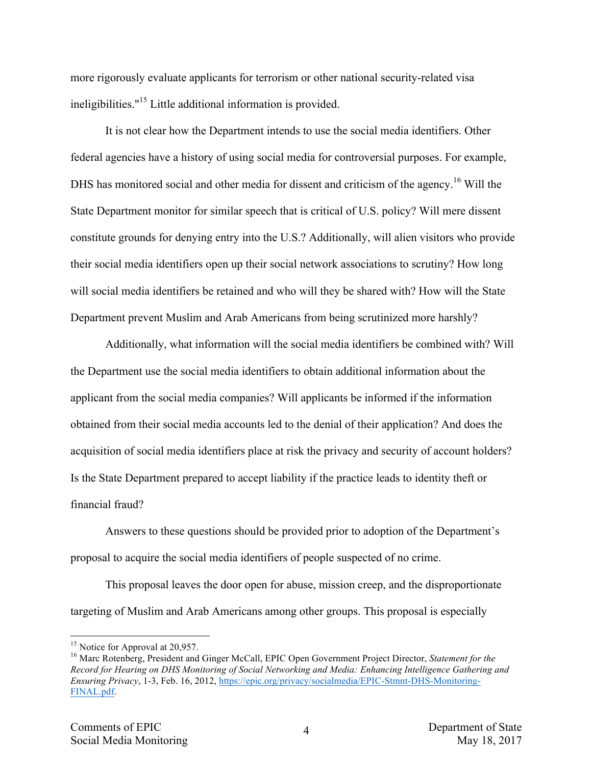more rigorously evaluate applicants for terrorism or other national security-related visa ineligibilities."<sup>15</sup> Little additional information is provided.

It is not clear how the Department intends to use the social media identifiers. Other federal agencies have a history of using social media for controversial purposes. For example, DHS has monitored social and other media for dissent and criticism of the agency.<sup>16</sup> Will the State Department monitor for similar speech that is critical of U.S. policy? Will mere dissent constitute grounds for denying entry into the U.S.? Additionally, will alien visitors who provide their social media identifiers open up their social network associations to scrutiny? How long will social media identifiers be retained and who will they be shared with? How will the State Department prevent Muslim and Arab Americans from being scrutinized more harshly?

Additionally, what information will the social media identifiers be combined with? Will the Department use the social media identifiers to obtain additional information about the applicant from the social media companies? Will applicants be informed if the information obtained from their social media accounts led to the denial of their application? And does the acquisition of social media identifiers place at risk the privacy and security of account holders? Is the State Department prepared to accept liability if the practice leads to identity theft or financial fraud?

Answers to these questions should be provided prior to adoption of the Department's proposal to acquire the social media identifiers of people suspected of no crime.

This proposal leaves the door open for abuse, mission creep, and the disproportionate targeting of Muslim and Arab Americans among other groups. This proposal is especially

<sup>&</sup>lt;sup>15</sup> Notice for Approval at 20,957.<br><sup>16</sup> Marc Rotenberg, President and Ginger McCall, EPIC Open Government Project Director, *Statement for the Record for Hearing on DHS Monitoring of Social Networking and Media: Enhancing Intelligence Gathering and Ensuring Privacy*, 1-3, Feb. 16, 2012, https://epic.org/privacy/socialmedia/EPIC-Stmnt-DHS-Monitoring-FINAL.pdf.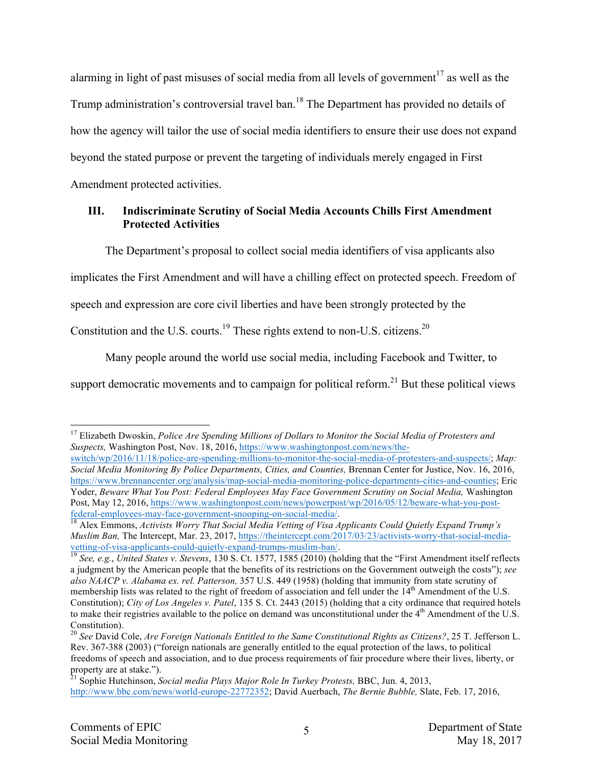alarming in light of past misuses of social media from all levels of government<sup>17</sup> as well as the Trump administration's controversial travel ban.<sup>18</sup> The Department has provided no details of how the agency will tailor the use of social media identifiers to ensure their use does not expand beyond the stated purpose or prevent the targeting of individuals merely engaged in First Amendment protected activities.

## **III. Indiscriminate Scrutiny of Social Media Accounts Chills First Amendment Protected Activities**

The Department's proposal to collect social media identifiers of visa applicants also

implicates the First Amendment and will have a chilling effect on protected speech. Freedom of

speech and expression are core civil liberties and have been strongly protected by the

Constitution and the U.S. courts.<sup>19</sup> These rights extend to non-U.S. citizens.<sup>20</sup>

Many people around the world use social media, including Facebook and Twitter, to

support democratic movements and to campaign for political reform.<sup>21</sup> But these political views

 <sup>17</sup> Elizabeth Dwoskin, *Police Are Spending Millions of Dollars to Monitor the Social Media of Protesters and Suspects,* Washington Post, Nov. 18, 2016, https://www.washingtonpost.com/news/the-

switch/wp/2016/11/18/police-are-spending-millions-to-monitor-the-social-media-of-protesters-and-suspects/; *Map: Social Media Monitoring By Police Departments, Cities, and Counties,* Brennan Center for Justice, Nov. 16, 2016, https://www.brennancenter.org/analysis/map-social-media-monitoring-police-departments-cities-and-counties; Eric Yoder, *Beware What You Post: Federal Employees May Face Government Scrutiny on Social Media, Washington* Post, May 12, 2016, https://www.washingtonpost.com/news/powerpost/wp/2016/05/12/beware-what-you-postfederal-employees-may-face-government-snooping-on-social-media/. <sup>18</sup> Alex Emmons, *Activists Worry That Social Media Vetting of Visa Applicants Could Quietly Expand Trump's* 

*Muslim Ban,* The Intercept, Mar. 23, 2017, https://theintercept.com/2017/03/23/activists-worry-that-social-mediavetting-of-visa-applicants-could-quietly-expand-trumps-muslim-ban/. <sup>19</sup> *See, e.g.*, *United States v. Stevens*, 130 S. Ct. 1577, 1585 (2010) (holding that the "First Amendment itself reflects

a judgment by the American people that the benefits of its restrictions on the Government outweigh the costs"); *see also NAACP v. Alabama ex. rel. Patterson,* 357 U.S. 449 (1958) (holding that immunity from state scrutiny of membership lists was related to the right of freedom of association and fell under the 14<sup>th</sup> Amendment of the U.S. Constitution); *City of Los Angeles v. Patel*, 135 S. Ct. 2443 (2015) (holding that a city ordinance that required hotels to make their registries available to the police on demand was unconstitutional under the  $4<sup>th</sup>$  Amendment of the U.S. Constitution).

<sup>20</sup> *See* David Cole, *Are Foreign Nationals Entitled to the Same Constitutional Rights as Citizens?*, 25 T. Jefferson L. Rev. 367-388 (2003) ("foreign nationals are generally entitled to the equal protection of the laws, to political freedoms of speech and association, and to due process requirements of fair procedure where their lives, liberty, or property are at stake.").

<sup>21</sup> Sophie Hutchinson, *Social media Plays Major Role In Turkey Protests,* BBC, Jun. 4, 2013, http://www.bbc.com/news/world-europe-22772352; David Auerbach, *The Bernie Bubble,* Slate, Feb. 17, 2016,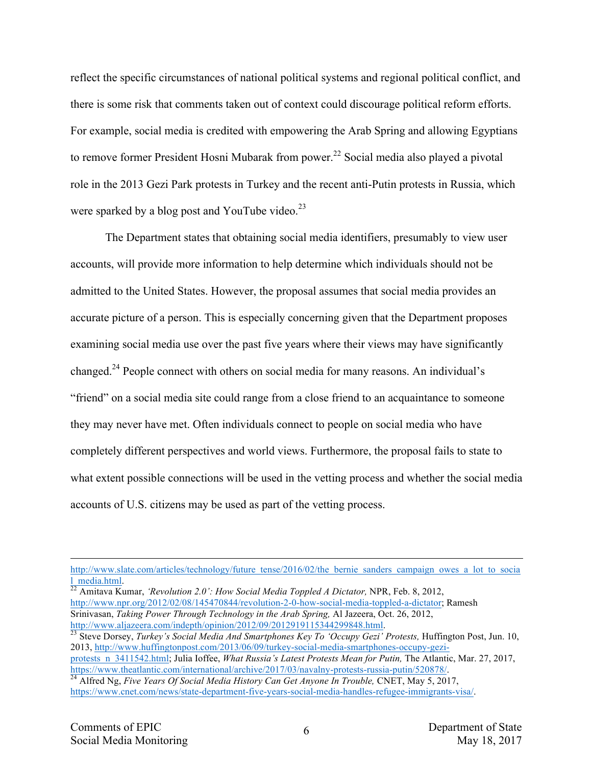reflect the specific circumstances of national political systems and regional political conflict, and there is some risk that comments taken out of context could discourage political reform efforts. For example, social media is credited with empowering the Arab Spring and allowing Egyptians to remove former President Hosni Mubarak from power.<sup>22</sup> Social media also played a pivotal role in the 2013 Gezi Park protests in Turkey and the recent anti-Putin protests in Russia, which were sparked by a blog post and YouTube video. $^{23}$ 

The Department states that obtaining social media identifiers, presumably to view user accounts, will provide more information to help determine which individuals should not be admitted to the United States. However, the proposal assumes that social media provides an accurate picture of a person. This is especially concerning given that the Department proposes examining social media use over the past five years where their views may have significantly changed.<sup>24</sup> People connect with others on social media for many reasons. An individual's "friend" on a social media site could range from a close friend to an acquaintance to someone they may never have met. Often individuals connect to people on social media who have completely different perspectives and world views. Furthermore, the proposal fails to state to what extent possible connections will be used in the vetting process and whether the social media accounts of U.S. citizens may be used as part of the vetting process.

http://www.npr.org/2012/02/08/145470844/revolution-2-0-how-social-media-toppled-a-dictator; Ramesh Srinivasan, *Taking Power Through Technology in the Arab Spring*, Al Jazeera, Oct. 26, 2012, http://www.aljazeera.com/indepth/opinion/2012/09/2012919115344299848.html.

protests\_n\_3411542.html; Julia Ioffee, *What Russia's Latest Protests Mean for Putin*, The Atlantic, Mar. 27, 2017,<br>https://www.theatlantic.com/international/archive/2017/03/navalny-protests-russia-putin/520878/.

http://www.slate.com/articles/technology/future\_tense/2016/02/the\_bernie\_sanders\_campaign\_owes\_a\_lot\_to\_socia l\_media.html. <sup>22</sup> Amitava Kumar, *'Revolution 2.0': How Social Media Toppled A Dictator,* NPR, Feb. 8, 2012,

<sup>&</sup>lt;sup>23</sup> Steve Dorsey, *Turkey's Social Media And Smartphones Key To 'Occupy Gezi' Protests, Huffington Post, Jun. 10,* 2013, http://www.huffingtonpost.com/2013/06/09/turkey-social-media-smartphones-occupy-gezi-

<sup>&</sup>lt;sup>24</sup> Alfred Ng, Five Years Of Social Media History Can Get Anyone In Trouble, CNET, May 5, 2017, https://www.cnet.com/news/state-department-five-years-social-media-handles-refugee-immigrants-visa/.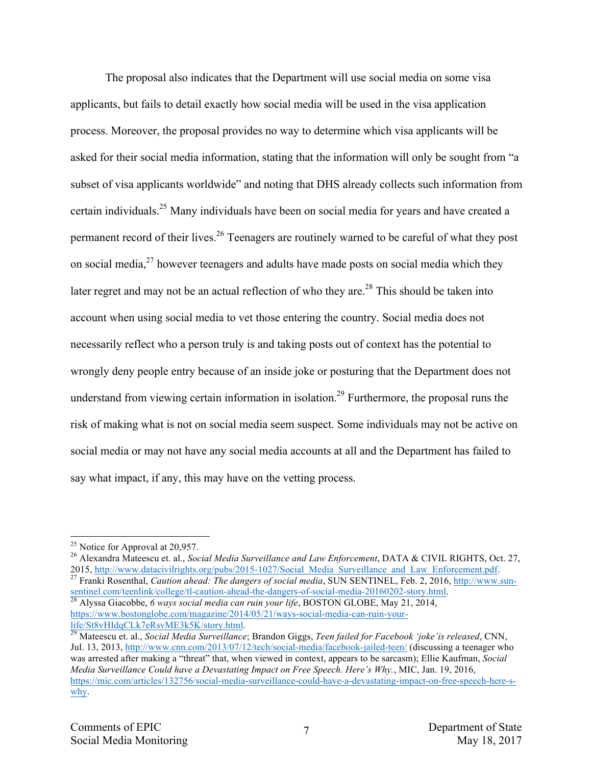The proposal also indicates that the Department will use social media on some visa applicants, but fails to detail exactly how social media will be used in the visa application process. Moreover, the proposal provides no way to determine which visa applicants will be asked for their social media information, stating that the information will only be sought from "a subset of visa applicants worldwide" and noting that DHS already collects such information from certain individuals.25 Many individuals have been on social media for years and have created a permanent record of their lives.<sup>26</sup> Teenagers are routinely warned to be careful of what they post on social media, $^{27}$  however teenagers and adults have made posts on social media which they later regret and may not be an actual reflection of who they are.<sup>28</sup> This should be taken into account when using social media to vet those entering the country. Social media does not necessarily reflect who a person truly is and taking posts out of context has the potential to wrongly deny people entry because of an inside joke or posturing that the Department does not understand from viewing certain information in isolation.<sup>29</sup> Furthermore, the proposal runs the risk of making what is not on social media seem suspect. Some individuals may not be active on social media or may not have any social media accounts at all and the Department has failed to say what impact, if any, this may have on the vetting process.

<sup>27</sup> Franki Rosenthal, *Caution ahead: The dangers of social media*, SUN SENTINEL, Feb. 2, 2016, http://www.sunsentinel.com/teenlink/college/tl-caution-ahead-the-dangers-of-social-media-20160202-story.html. <sup>28</sup> Alyssa Giacobbe, *6 ways social media can ruin your life*, BOSTON GLOBE, May 21, 2014,

<sup>&</sup>lt;sup>25</sup> Notice for Approval at 20,957.<br><sup>26</sup> Alexandra Mateescu et. al., *Social Media Surveillance and Law Enforcement*, DATA & CIVIL RIGHTS, Oct. 27,<br>2015, http://www.datacivilrights.org/pubs/2015-1027/Social Media Surveilla

https://www.bostonglobe.com/magazine/2014/05/21/ways-social-media-can-ruin-your-<br>life/St8vHIdqCLk7eRsvME3k5K/story.html.

<sup>&</sup>lt;sup>29</sup> Mateescu et. al., *Social Media Surveillance*; Brandon Giggs, *Teen failed for Facebook 'joke'is released*, CNN, Jul. 13, 2013, http://www.cnn.com/2013/07/12/tech/social-media/facebook-jailed-teen/ (discussing a teenager who was arrested after making a "threat" that, when viewed in context, appears to be sarcasm); Ellie Kaufman, *Social Media Surveillance Could have a Devastating Impact on Free Speech. Here's Why.*, MIC, Jan. 19, 2016, https://mic.com/articles/132756/social-media-surveillance-could-have-a-devastating-impact-on-free-speech-here-swhy.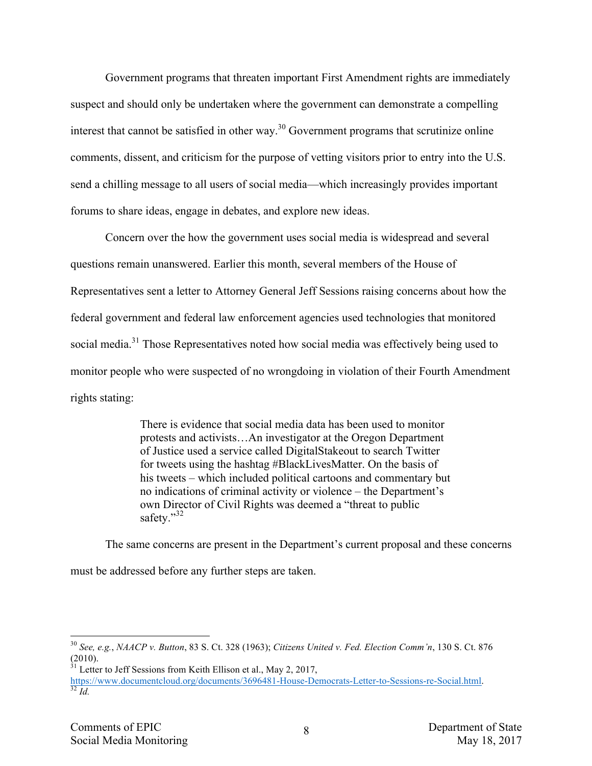Government programs that threaten important First Amendment rights are immediately suspect and should only be undertaken where the government can demonstrate a compelling interest that cannot be satisfied in other way.<sup>30</sup> Government programs that scrutinize online comments, dissent, and criticism for the purpose of vetting visitors prior to entry into the U.S. send a chilling message to all users of social media—which increasingly provides important forums to share ideas, engage in debates, and explore new ideas.

Concern over the how the government uses social media is widespread and several questions remain unanswered. Earlier this month, several members of the House of Representatives sent a letter to Attorney General Jeff Sessions raising concerns about how the federal government and federal law enforcement agencies used technologies that monitored social media.<sup>31</sup> Those Representatives noted how social media was effectively being used to monitor people who were suspected of no wrongdoing in violation of their Fourth Amendment rights stating:

> There is evidence that social media data has been used to monitor protests and activists…An investigator at the Oregon Department of Justice used a service called DigitalStakeout to search Twitter for tweets using the hashtag #BlackLivesMatter. On the basis of his tweets – which included political cartoons and commentary but no indications of criminal activity or violence – the Department's own Director of Civil Rights was deemed a "threat to public safety."<sup>32</sup>

The same concerns are present in the Department's current proposal and these concerns must be addressed before any further steps are taken.

 <sup>30</sup> *See, e.g.*, *NAACP v. Button*, 83 S. Ct. 328 (1963); *Citizens United v. Fed. Election Comm'n*, 130 S. Ct. 876 (2010).

 $31$  Letter to Jeff Sessions from Keith Ellison et al., May 2, 2017,

https://www.documentcloud.org/documents/3696481-House-Democrats-Letter-to-Sessions-re-Social.html. <sup>32</sup> *Id.*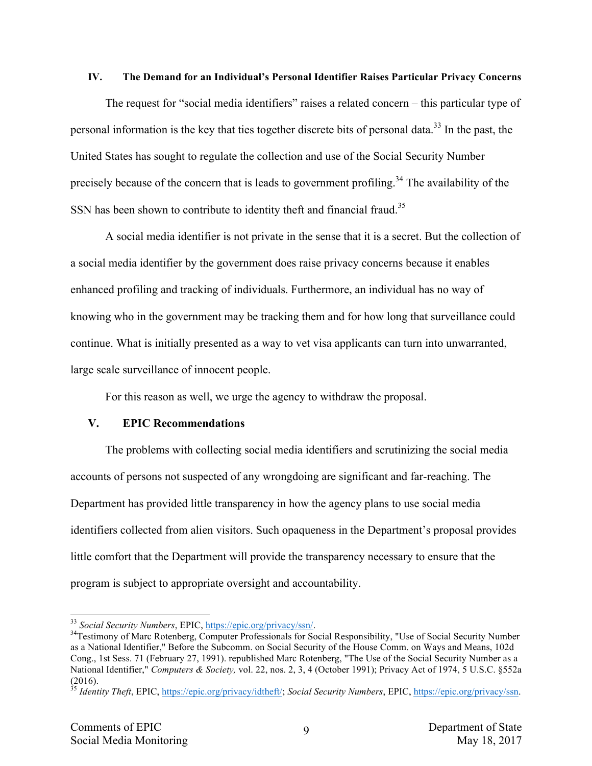#### **IV. The Demand for an Individual's Personal Identifier Raises Particular Privacy Concerns**

The request for "social media identifiers" raises a related concern – this particular type of personal information is the key that ties together discrete bits of personal data.<sup>33</sup> In the past, the United States has sought to regulate the collection and use of the Social Security Number precisely because of the concern that is leads to government profiling.<sup>34</sup> The availability of the SSN has been shown to contribute to identity theft and financial fraud.<sup>35</sup>

A social media identifier is not private in the sense that it is a secret. But the collection of a social media identifier by the government does raise privacy concerns because it enables enhanced profiling and tracking of individuals. Furthermore, an individual has no way of knowing who in the government may be tracking them and for how long that surveillance could continue. What is initially presented as a way to vet visa applicants can turn into unwarranted, large scale surveillance of innocent people.

For this reason as well, we urge the agency to withdraw the proposal.

### **V. EPIC Recommendations**

The problems with collecting social media identifiers and scrutinizing the social media accounts of persons not suspected of any wrongdoing are significant and far-reaching. The Department has provided little transparency in how the agency plans to use social media identifiers collected from alien visitors. Such opaqueness in the Department's proposal provides little comfort that the Department will provide the transparency necessary to ensure that the program is subject to appropriate oversight and accountability.

<sup>&</sup>lt;sup>33</sup> *Social Security Numbers*, EPIC, <u>https://epic.org/privacy/ssn/</u>.<br><sup>34</sup>Testimony of Marc Rotenberg, Computer Professionals for Social Responsibility, "Use of Social Security Number as a National Identifier," Before the Subcomm. on Social Security of the House Comm. on Ways and Means, 102d Cong., 1st Sess. 71 (February 27, 1991). republished Marc Rotenberg, "The Use of the Social Security Number as a National Identifier," *Computers & Society,* vol. 22, nos. 2, 3, 4 (October 1991); Privacy Act of 1974, 5 U.S.C. §552a (2016).

<sup>35</sup> *Identity Theft*, EPIC, https://epic.org/privacy/idtheft/; *Social Security Numbers*, EPIC, https://epic.org/privacy/ssn.